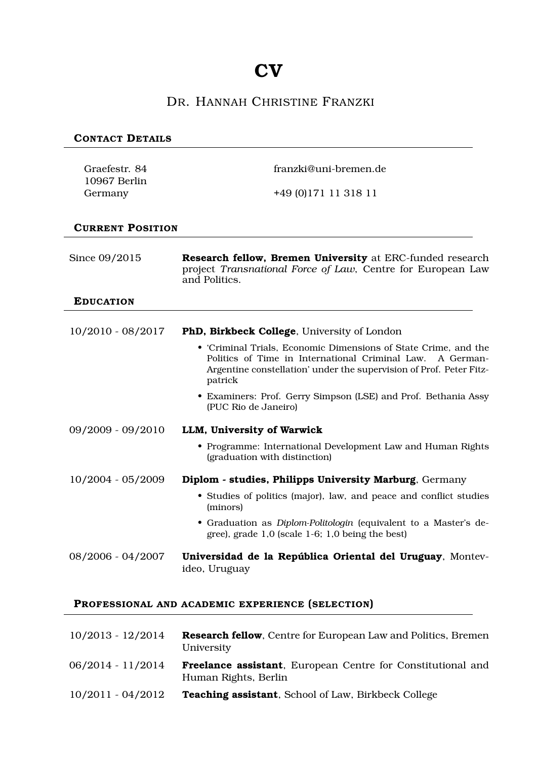## **CV**

## DR. HANNAH CHRISTINE FRANZKI

#### **CONTACT DETAILS**

| Graefestr. 84           | franzki@uni-bremen.de                                                                                                                                                                                             |
|-------------------------|-------------------------------------------------------------------------------------------------------------------------------------------------------------------------------------------------------------------|
| 10967 Berlin<br>Germany | +49 (0) 171 11 318 11                                                                                                                                                                                             |
| <b>CURRENT POSITION</b> |                                                                                                                                                                                                                   |
| Since 09/2015           | Research fellow, Bremen University at ERC-funded research<br>project Transnational Force of Law, Centre for European Law<br>and Politics.                                                                         |
| <b>EDUCATION</b>        |                                                                                                                                                                                                                   |
| $10/2010 - 08/2017$     | PhD, Birkbeck College, University of London                                                                                                                                                                       |
|                         | • 'Criminal Trials, Economic Dimensions of State Crime, and the<br>Politics of Time in International Criminal Law.<br>A German-<br>Argentine constellation' under the supervision of Prof. Peter Fitz-<br>patrick |
|                         | • Examiners: Prof. Gerry Simpson (LSE) and Prof. Bethania Assy<br>(PUC Rio de Janeiro)                                                                                                                            |
| 09/2009 - 09/2010       | LLM, University of Warwick                                                                                                                                                                                        |
|                         | • Programme: International Development Law and Human Rights<br>(graduation with distinction)                                                                                                                      |
| $10/2004 - 05/2009$     | Diplom - studies, Philipps University Marburg, Germany                                                                                                                                                            |
|                         | • Studies of politics (major), law, and peace and conflict studies<br>(minors)                                                                                                                                    |
|                         | • Graduation as Diplom-Politologin (equivalent to a Master's de-<br>gree), grade $1,0$ (scale 1-6; 1,0 being the best)                                                                                            |
| 08/2006 - 04/2007       | Universidad de la República Oriental del Uruguay, Montev-<br>ideo, Uruguay                                                                                                                                        |
|                         | PROFESSIONAL AND ACADEMIC EXPERIENCE (SELECTION)                                                                                                                                                                  |

# 10/2013 - 12/2014 **Research fellow**, Centre for European Law and Politics, Bremen

| $10/2010$ $12/2017$ | <b>Research Rilow</b> , Centre for Buropean Baw and Fondes, Bremen<br>University            |
|---------------------|---------------------------------------------------------------------------------------------|
| $06/2014 - 11/2014$ | <b>Freelance assistant</b> , European Centre for Constitutional and<br>Human Rights, Berlin |
| $10/2011 - 04/2012$ | <b>Teaching assistant</b> , School of Law, Birkbeck College                                 |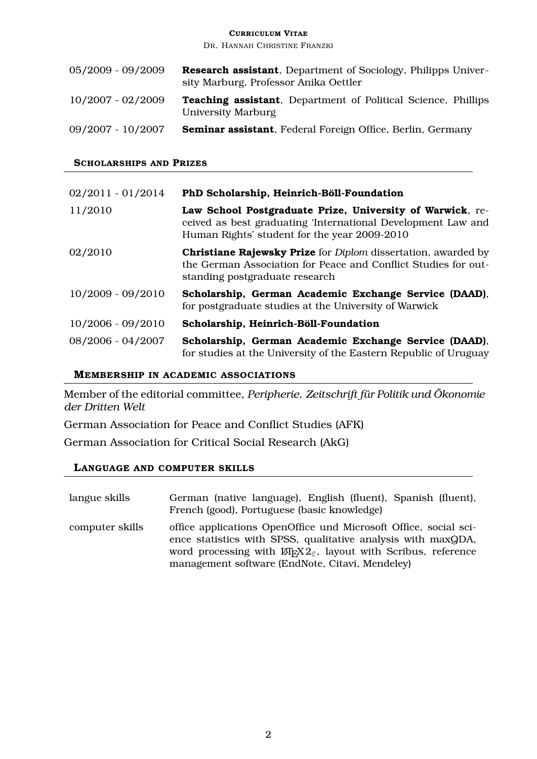DR. HANNAH CHRISTINE FRANZKI

| $05/2009 - 09/2009$ | <b>Research assistant</b> , Department of Sociology, Philipps Univer-<br>sity Marburg, Professor Anika Oettler |
|---------------------|----------------------------------------------------------------------------------------------------------------|
| 10/2007 - 02/2009   | <b>Teaching assistant</b> , Department of Political Science, Phillips<br>University Marburg                    |
| $09/2007 - 10/2007$ | Seminar assistant, Federal Foreign Office, Berlin, Germany                                                     |

#### **SCHOLARSHIPS AND PRIZES**

| $02/2011 - 01/2014$ | PhD Scholarship, Heinrich-Böll-Foundation                                                                                                                                       |
|---------------------|---------------------------------------------------------------------------------------------------------------------------------------------------------------------------------|
| 11/2010             | Law School Postgraduate Prize, University of Warwick, re-<br>ceived as best graduating 'International Development Law and<br>Human Rights' student for the year 2009-2010       |
| 02/2010             | <b>Christiane Rajewsky Prize</b> for <i>Diplom</i> dissertation, awarded by<br>the German Association for Peace and Conflict Studies for out-<br>standing postgraduate research |
| $10/2009 - 09/2010$ | Scholarship, German Academic Exchange Service (DAAD),<br>for postgraduate studies at the University of Warwick                                                                  |
| $10/2006 - 09/2010$ | Scholarship, Heinrich-Böll-Foundation                                                                                                                                           |
| $08/2006 - 04/2007$ | Scholarship, German Academic Exchange Service (DAAD),<br>for studies at the University of the Eastern Republic of Uruguay                                                       |

#### **MEMBERSHIP IN ACADEMIC ASSOCIATIONS**

Member of the editorial committee, *Peripherie. Zeitschrift für Politik und Ökonomie der Dritten Welt*

German Association for Peace and Conflict Studies (AFK)

German Association for Critical Social Research (AkG)

#### **LANGUAGE AND COMPUTER SKILLS**

| langue skills   | German (native language), English (fluent), Spanish (fluent),<br>French (good), Portuguese (basic knowledge)                                                                                                                                                                             |
|-----------------|------------------------------------------------------------------------------------------------------------------------------------------------------------------------------------------------------------------------------------------------------------------------------------------|
| computer skills | office applications OpenOffice und Microsoft Office, social sci-<br>ence statistics with SPSS, qualitative analysis with maxQDA,<br>word processing with $\mathbb{E} \mathbb{E} \times \mathbb{E}^2$ , layout with Scribus, reference<br>management software (EndNote, Citavi, Mendeley) |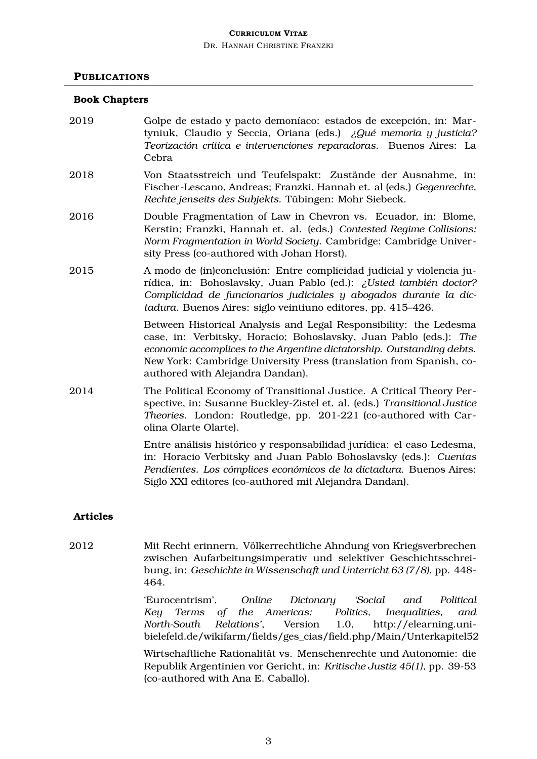DR. HANNAH CHRISTINE FRANZKI

#### **PUBLICATIONS**

#### **Book Chapters**

- 2019 Golpe de estado y pacto demoníaco: estados de excepción, in: Martyniuk, Claudio y Seccia, Oriana (eds.) *¿Qué memoria y justicia? Teorización crítica e intervenciones reparadoras*. Buenos Aires: La Cebra
- 2018 Von Staatsstreich und Teufelspakt: Zustände der Ausnahme, in: Fischer-Lescano, Andreas; Franzki, Hannah et. al (eds.) *Gegenrechte. Rechte jenseits des Subjekts*. Tübingen: Mohr Siebeck.
- 2016 Double Fragmentation of Law in Chevron vs. Ecuador, in: Blome, Kerstin; Franzki, Hannah et. al. (eds.) *Contested Regime Collisions: Norm Fragmentation in World Society*. Cambridge: Cambridge University Press (co-authored with Johan Horst).
- 2015 A modo de (in)conclusión: Entre complicidad judicial y violencia jurídica, in: Bohoslavsky, Juan Pablo (ed.): *¿Usted también doctor? Complicidad de funcionarios judiciales y abogados durante la dictadura*. Buenos Aires: siglo veintiuno editores, pp. 415–426.

Between Historical Analysis and Legal Responsibility: the Ledesma case, in: Verbitsky, Horacio; Bohoslavsky, Juan Pablo (eds.): *The economic accomplices to the Argentine dictatorship. Outstanding debts*. New York: Cambridge University Press (translation from Spanish, coauthored with Alejandra Dandan).

2014 The Political Economy of Transitional Justice. A Critical Theory Perspective, in: Susanne Buckley-Zistel et. al. (eds.) *Transitional Justice Theories*. London: Routledge, pp. 201-221 (co-authored with Carolina Olarte Olarte).

> Entre análisis histórico y responsabilidad jurídica: el caso Ledesma, in: Horacio Verbitsky and Juan Pablo Bohoslavsky (eds.): *Cuentas Pendientes. Los cómplices económicos de la dictadura*. Buenos Aires: Siglo XXI editores (co-authored mit Alejandra Dandan).

#### **Articles**

2012 Mit Recht erinnern. Völkerrechtliche Ahndung von Kriegsverbrechen zwischen Aufarbeitungsimperativ und selektiver Geschichtsschreibung, in: *Geschichte in Wissenschaft und Unterricht 63 (7/8)*, pp. 448- 464.

> 'Eurocentrism', *Online Dictonary 'Social and Political Key Terms of the Americas: Politics, Inequalities, and North-South Relations'*, Version 1.0, http://elearning.unibielefeld.de/wikifarm/fields/ges\_cias/field.php/Main/Unterkapitel52

> Wirtschaftliche Rationalität vs. Menschenrechte und Autonomie: die Republik Argentinien vor Gericht, in: *Kritische Justiz 45(1)*, pp. 39-53 (co-authored with Ana E. Caballo).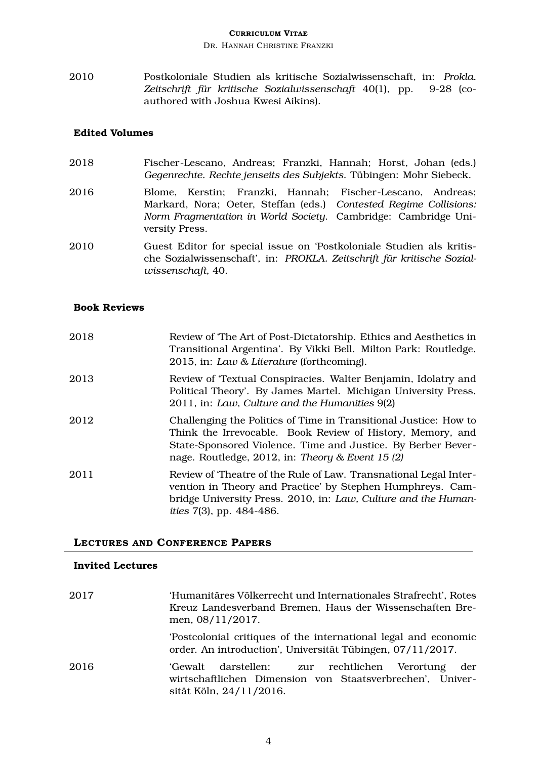DR. HANNAH CHRISTINE FRANZKI

2010 Postkoloniale Studien als kritische Sozialwissenschaft, in: *Prokla. Zeitschrift für kritische Sozialwissenschaft* 40(1), pp. 9-28 (coauthored with Joshua Kwesi Aikins).

#### **Edited Volumes**

- 2018 Fischer-Lescano, Andreas; Franzki, Hannah; Horst, Johan (eds.) *Gegenrechte. Rechte jenseits des Subjekts*. Tübingen: Mohr Siebeck.
- 2016 Blome, Kerstin; Franzki, Hannah; Fischer-Lescano, Andreas; Markard, Nora; Oeter, Steffan (eds.) *Contested Regime Collisions: Norm Fragmentation in World Society*. Cambridge: Cambridge University Press.
- 2010 Guest Editor for special issue on 'Postkoloniale Studien als kritische Sozialwissenschaft', in: *PROKLA. Zeitschrift für kritische Sozialwissenschaft*, 40.

#### **Book Reviews**

| 2018 | Review of 'The Art of Post-Dictatorship. Ethics and Aesthetics in<br>Transitional Argentina'. By Vikki Bell. Milton Park: Routledge,<br>2015, in: Law & Literature (forthcoming).                                                                    |
|------|------------------------------------------------------------------------------------------------------------------------------------------------------------------------------------------------------------------------------------------------------|
| 2013 | Review of 'Textual Conspiracies. Walter Benjamin, Idolatry and<br>Political Theory'. By James Martel. Michigan University Press,<br>2011, in: Law, Culture and the Humanities 9(2)                                                                   |
| 2012 | Challenging the Politics of Time in Transitional Justice: How to<br>Think the Irrevocable. Book Review of History, Memory, and<br>State-Sponsored Violence. Time and Justice. By Berber Bever-<br>nage. Routledge, 2012, in: Theory & Event 15 $(2)$ |
| 2011 | Review of Theatre of the Rule of Law. Transnational Legal Inter-<br>vention in Theory and Practice' by Stephen Humphreys. Cam-<br>bridge University Press. 2010, in: Law, Culture and the Human-<br><i>ities</i> 7(3), pp. 484-486.                  |

#### **LECTURES AND CONFERENCE PAPERS**

#### **Invited Lectures**

| 2017 | 'Humanitäres Völkerrecht und Internationales Strafrecht', Rotes<br>Kreuz Landesverband Bremen, Haus der Wissenschaften Bre-<br>men, 08/11/2017. |
|------|-------------------------------------------------------------------------------------------------------------------------------------------------|
|      | 'Postcolonial critiques of the international legal and economic<br>order. An introduction', Universität Tübingen, 07/11/2017.                   |
| 2016 | 'Gewalt darstellen: zur rechtlichen Verortung<br>der<br>wirtschaftlichen Dimension von Staatsverbrechen', Univer-<br>sität Köln, 24/11/2016.    |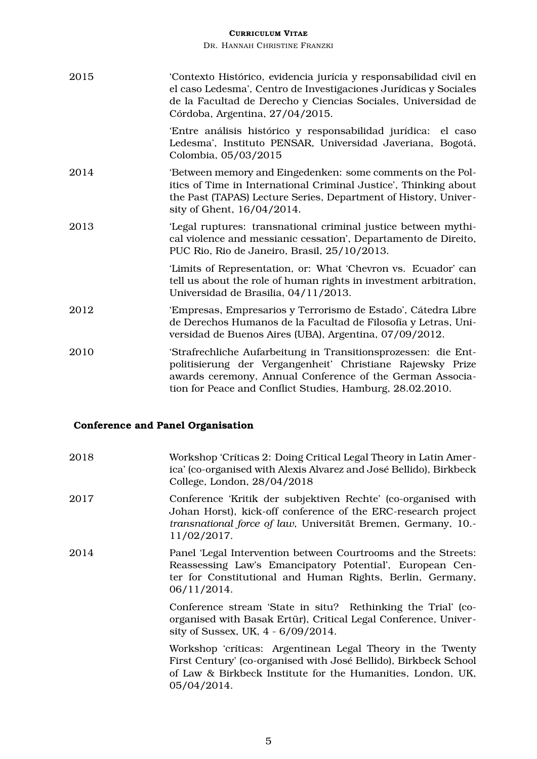DR. HANNAH CHRISTINE FRANZKI

| 2015 | 'Contexto Histórico, evidencia jurícia y responsabilidad civil en<br>el caso Ledesma', Centro de Investigaciones Jurídicas y Sociales<br>de la Facultad de Derecho y Ciencias Sociales, Universidad de<br>Córdoba, Argentina, 27/04/2015.              |
|------|--------------------------------------------------------------------------------------------------------------------------------------------------------------------------------------------------------------------------------------------------------|
|      | 'Entre análisis histórico y responsabilidad jurídica: el caso<br>Ledesma', Instituto PENSAR, Universidad Javeriana, Bogotá,<br>Colombia, 05/03/2015                                                                                                    |
| 2014 | 'Between memory and Eingedenken: some comments on the Pol-<br>itics of Time in International Criminal Justice', Thinking about<br>the Past (TAPAS) Lecture Series, Department of History, Univer-<br>sity of Ghent, 16/04/2014.                        |
| 2013 | 'Legal ruptures: transnational criminal justice between mythi-<br>cal violence and messianic cessation', Departamento de Direito,<br>PUC Rio, Rio de Janeiro, Brasil, 25/10/2013.                                                                      |
|      | 'Limits of Representation, or: What 'Chevron vs. Ecuador' can<br>tell us about the role of human rights in investment arbitration,<br>Universidad de Brasilia, 04/11/2013.                                                                             |
| 2012 | 'Empresas, Empresarios y Terrorismo de Estado', Cátedra Libre<br>de Derechos Humanos de la Facultad de Filosofía y Letras, Uni-<br>versidad de Buenos Aires (UBA), Argentina, 07/09/2012.                                                              |
| 2010 | 'Strafrechliche Aufarbeitung in Transitionsprozessen: die Ent-<br>politisierung der Vergangenheit' Christiane Rajewsky Prize<br>awards ceremony, Annual Conference of the German Associa-<br>tion for Peace and Conflict Studies, Hamburg, 28.02.2010. |

## **Conference and Panel Organisation**

| 2018 | Workshop 'Críticas 2: Doing Critical Legal Theory in Latin Amer-<br>ica' (co-organised with Alexis Alvarez and José Bellido), Birkbeck<br>College, London, 28/04/2018                                          |
|------|----------------------------------------------------------------------------------------------------------------------------------------------------------------------------------------------------------------|
| 2017 | Conference 'Kritik der subjektiven Rechte' (co-organised with<br>Johan Horst), kick-off conference of the ERC-research project<br>transnational force of law, Universität Bremen, Germany, 10.-<br>11/02/2017. |
| 2014 | Panel 'Legal Intervention between Courtrooms and the Streets:<br>Reassessing Law's Emancipatory Potential', European Cen-<br>ter for Constitutional and Human Rights, Berlin, Germany,<br>06/11/2014.          |
|      | Conference stream 'State in situ? Rethinking the Trial' (co-<br>organised with Basak Ertür), Critical Legal Conference, Univer-<br>sity of Sussex, UK, 4 - 6/09/2014.                                          |
|      | Workshop 'críticas: Argentinean Legal Theory in the Twenty<br>First Century' (co-organised with José Bellido), Birkbeck School<br>of Law & Birkbeck Institute for the Humanities, London, UK,<br>05/04/2014.   |